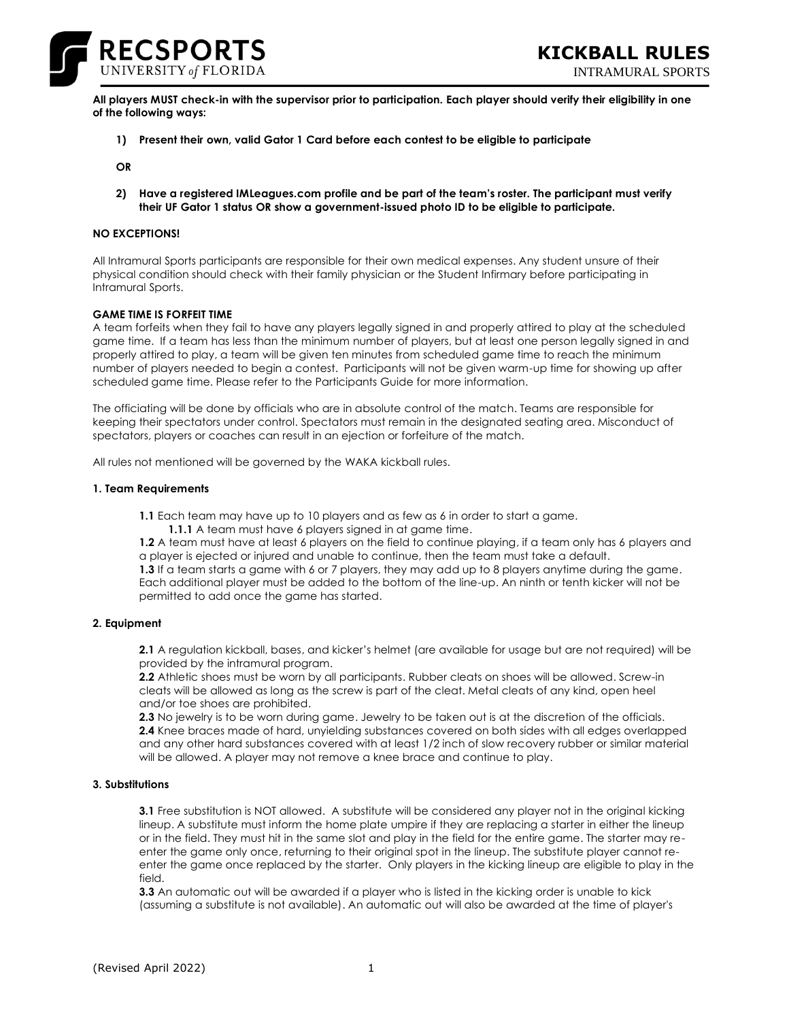

INTRAMURAL SPORTS

**All players MUST check-in with the supervisor prior to participation. Each player should verify their eligibility in one of the following ways:**

**1) Present their own, valid Gator 1 Card before each contest to be eligible to participate**

**OR**

**2) Have a registered IMLeagues.com profile and be part of the team's roster. The participant must verify their UF Gator 1 status OR show a government-issued photo ID to be eligible to participate.**

# **NO EXCEPTIONS!**

All Intramural Sports participants are responsible for their own medical expenses. Any student unsure of their physical condition should check with their family physician or the Student Infirmary before participating in Intramural Sports.

## **GAME TIME IS FORFEIT TIME**

A team forfeits when they fail to have any players legally signed in and properly attired to play at the scheduled game time. If a team has less than the minimum number of players, but at least one person legally signed in and properly attired to play, a team will be given ten minutes from scheduled game time to reach the minimum number of players needed to begin a contest. Participants will not be given warm-up time for showing up after scheduled game time. Please refer to the Participants Guide for more information.

The officiating will be done by officials who are in absolute control of the match. Teams are responsible for keeping their spectators under control. Spectators must remain in the designated seating area. Misconduct of spectators, players or coaches can result in an ejection or forfeiture of the match.

All rules not mentioned will be governed by the WAKA kickball rules.

#### **1. Team Requirements**

**1.1** Each team may have up to 10 players and as few as 6 in order to start a game.

**1.1.1** A team must have 6 players signed in at game time.

**1.2** A team must have at least 6 players on the field to continue playing, if a team only has 6 players and a player is ejected or injured and unable to continue, then the team must take a default.

**1.3** If a team starts a game with 6 or 7 players, they may add up to 8 players anytime during the game. Each additional player must be added to the bottom of the line-up. An ninth or tenth kicker will not be permitted to add once the game has started.

## **2. Equipment**

**2.1** A regulation kickball, bases, and kicker's helmet (are available for usage but are not required) will be provided by the intramural program.

**2.2** Athletic shoes must be worn by all participants. Rubber cleats on shoes will be allowed. Screw-in cleats will be allowed as long as the screw is part of the cleat. Metal cleats of any kind, open heel and/or toe shoes are prohibited.

**2.3** No jewelry is to be worn during game. Jewelry to be taken out is at the discretion of the officials. **2.4** Knee braces made of hard, unyielding substances covered on both sides with all edges overlapped and any other hard substances covered with at least 1/2 inch of slow recovery rubber or similar material will be allowed. A player may not remove a knee brace and continue to play.

#### **3. Substitutions**

**3.1** Free substitution is NOT allowed. A substitute will be considered any player not in the original kicking lineup. A substitute must inform the home plate umpire if they are replacing a starter in either the lineup or in the field. They must hit in the same slot and play in the field for the entire game. The starter may reenter the game only once, returning to their original spot in the lineup. The substitute player cannot reenter the game once replaced by the starter. Only players in the kicking lineup are eligible to play in the field.

**3.3** An automatic out will be awarded if a player who is listed in the kicking order is unable to kick (assuming a substitute is not available). An automatic out will also be awarded at the time of player's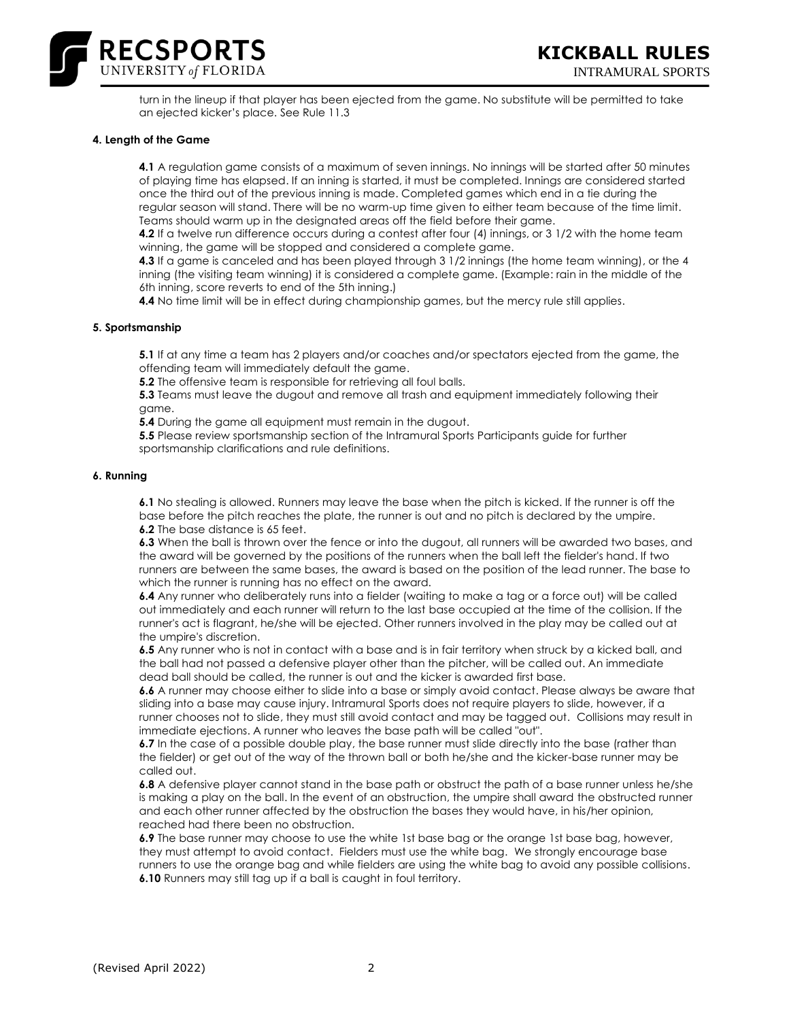

turn in the lineup if that player has been ejected from the game. No substitute will be permitted to take an ejected kicker's place. See Rule 11.3

#### **4. Length of the Game**

**4.1** A regulation game consists of a maximum of seven innings. No innings will be started after 50 minutes of playing time has elapsed. If an inning is started, it must be completed. Innings are considered started once the third out of the previous inning is made. Completed games which end in a tie during the regular season will stand. There will be no warm-up time given to either team because of the time limit. Teams should warm up in the designated areas off the field before their game.

**4.2** If a twelve run difference occurs during a contest after four (4) innings, or 3 1/2 with the home team winning, the game will be stopped and considered a complete game.

**4.3** If a game is canceled and has been played through 3 1/2 innings (the home team winning), or the 4 inning (the visiting team winning) it is considered a complete game. (Example: rain in the middle of the 6th inning, score reverts to end of the 5th inning.)

**4.4** No time limit will be in effect during championship games, but the mercy rule still applies.

## **5. Sportsmanship**

**5.1** If at any time a team has 2 players and/or coaches and/or spectators ejected from the game, the offending team will immediately default the game.

**5.2** The offensive team is responsible for retrieving all foul balls.

**5.3** Teams must leave the dugout and remove all trash and equipment immediately following their game.

**5.4** During the game all equipment must remain in the dugout.

**5.5** Please review sportsmanship section of the Intramural Sports Participants guide for further sportsmanship clarifications and rule definitions.

#### **6. Running**

**6.1** No stealing is allowed. Runners may leave the base when the pitch is kicked. If the runner is off the base before the pitch reaches the plate, the runner is out and no pitch is declared by the umpire. **6.2** The base distance is 65 feet.

**6.3** When the ball is thrown over the fence or into the dugout, all runners will be awarded two bases, and the award will be governed by the positions of the runners when the ball left the fielder's hand. If two runners are between the same bases, the award is based on the position of the lead runner. The base to which the runner is running has no effect on the award.

**6.4** Any runner who deliberately runs into a fielder (waiting to make a tag or a force out) will be called out immediately and each runner will return to the last base occupied at the time of the collision. If the runner's act is flagrant, he/she will be ejected. Other runners involved in the play may be called out at the umpire's discretion.

**6.5** Any runner who is not in contact with a base and is in fair territory when struck by a kicked ball, and the ball had not passed a defensive player other than the pitcher, will be called out. An immediate dead ball should be called, the runner is out and the kicker is awarded first base.

**6.6** A runner may choose either to slide into a base or simply avoid contact. Please always be aware that sliding into a base may cause injury. Intramural Sports does not require players to slide, however, if a runner chooses not to slide, they must still avoid contact and may be tagged out. Collisions may result in immediate ejections. A runner who leaves the base path will be called "out".

**6.7** In the case of a possible double play, the base runner must slide directly into the base (rather than the fielder) or get out of the way of the thrown ball or both he/she and the kicker-base runner may be called out.

**6.8** A defensive player cannot stand in the base path or obstruct the path of a base runner unless he/she is making a play on the ball. In the event of an obstruction, the umpire shall award the obstructed runner and each other runner affected by the obstruction the bases they would have, in his/her opinion, reached had there been no obstruction.

**6.9** The base runner may choose to use the white 1st base bag or the orange 1st base bag, however, they must attempt to avoid contact. Fielders must use the white bag. We strongly encourage base runners to use the orange bag and while fielders are using the white bag to avoid any possible collisions. **6.10** Runners may still tag up if a ball is caught in foul territory.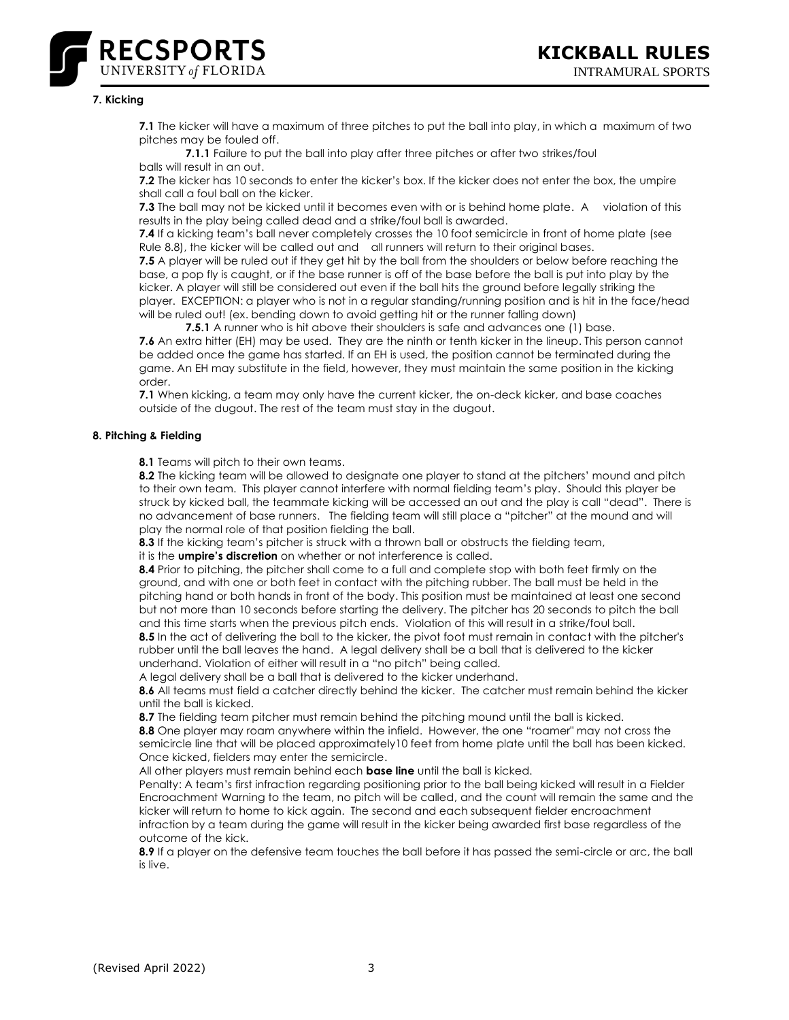

## **7. Kicking**

**7.1** The kicker will have a maximum of three pitches to put the ball into play, in which a maximum of two pitches may be fouled off.

**7.1.1** Failure to put the ball into play after three pitches or after two strikes/foul balls will result in an out.

**7.2** The kicker has 10 seconds to enter the kicker's box. If the kicker does not enter the box, the umpire shall call a foul ball on the kicker.

**7.3** The ball may not be kicked until it becomes even with or is behind home plate. A violation of this results in the play being called dead and a strike/foul ball is awarded.

**7.4** If a kicking team's ball never completely crosses the 10 foot semicircle in front of home plate (see Rule 8.8), the kicker will be called out and all runners will return to their original bases.

**7.5** A player will be ruled out if they get hit by the ball from the shoulders or below before reaching the base, a pop fly is caught, or if the base runner is off of the base before the ball is put into play by the kicker. A player will still be considered out even if the ball hits the ground before legally striking the player. EXCEPTION: a player who is not in a regular standing/running position and is hit in the face/head will be ruled out! (ex. bending down to avoid getting hit or the runner falling down)

**7.5.1** A runner who is hit above their shoulders is safe and advances one (1) base.

**7.6** An extra hitter (EH) may be used. They are the ninth or tenth kicker in the lineup. This person cannot be added once the game has started. If an EH is used, the position cannot be terminated during the game. An EH may substitute in the field, however, they must maintain the same position in the kicking order.

**7.1** When kicking, a team may only have the current kicker, the on-deck kicker, and base coaches outside of the dugout. The rest of the team must stay in the dugout.

# **8. Pitching & Fielding**

**8.1** Teams will pitch to their own teams.

**8.2** The kicking team will be allowed to designate one player to stand at the pitchers' mound and pitch to their own team. This player cannot interfere with normal fielding team's play. Should this player be struck by kicked ball, the teammate kicking will be accessed an out and the play is call "dead". There is no advancement of base runners. The fielding team will still place a "pitcher" at the mound and will play the normal role of that position fielding the ball.

**8.3** If the kicking team's pitcher is struck with a thrown ball or obstructs the fielding team,

it is the **umpire's discretion** on whether or not interference is called.

**8.4** Prior to pitching, the pitcher shall come to a full and complete stop with both feet firmly on the ground, and with one or both feet in contact with the pitching rubber. The ball must be held in the pitching hand or both hands in front of the body. This position must be maintained at least one second but not more than 10 seconds before starting the delivery. The pitcher has 20 seconds to pitch the ball and this time starts when the previous pitch ends. Violation of this will result in a strike/foul ball.

**8.5** In the act of delivering the ball to the kicker, the pivot foot must remain in contact with the pitcher's rubber until the ball leaves the hand. A legal delivery shall be a ball that is delivered to the kicker underhand. Violation of either will result in a "no pitch" being called.

A legal delivery shall be a ball that is delivered to the kicker underhand.

**8.6** All teams must field a catcher directly behind the kicker. The catcher must remain behind the kicker until the ball is kicked.

**8.7** The fielding team pitcher must remain behind the pitching mound until the ball is kicked.

**8.8** One player may roam anywhere within the infield. However, the one "roamer" may not cross the semicircle line that will be placed approximately10 feet from home plate until the ball has been kicked. Once kicked, fielders may enter the semicircle.

All other players must remain behind each **base line** until the ball is kicked.

Penalty: A team's first infraction regarding positioning prior to the ball being kicked will result in a Fielder Encroachment Warning to the team, no pitch will be called, and the count will remain the same and the kicker will return to home to kick again. The second and each subsequent fielder encroachment infraction by a team during the game will result in the kicker being awarded first base regardless of the outcome of the kick.

**8.9** If a player on the defensive team touches the ball before it has passed the semi-circle or arc, the ball is live.